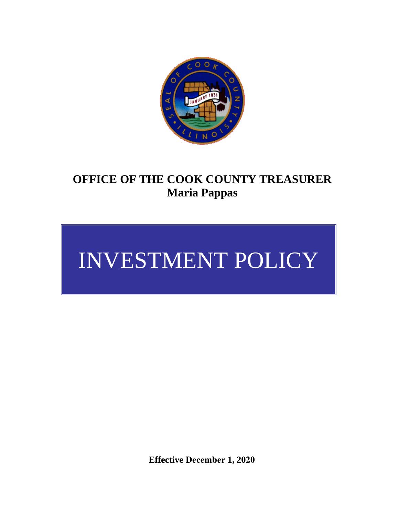

# **OFFICE OF THE COOK COUNTY TREASURER Maria Pappas**

# INVESTMENT POLICY

**Effective December 1, 2020**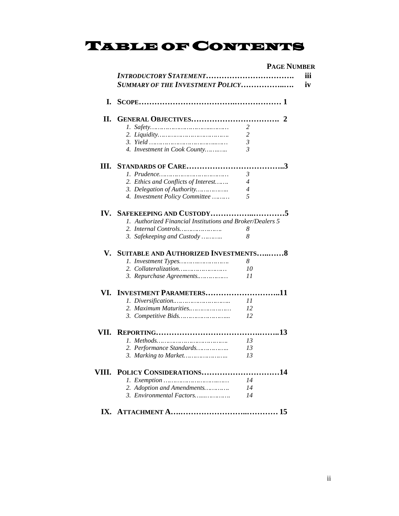# TABLE OF CONTENTS

|    |                                                           | <b>PAGE NUMBER</b> |     |
|----|-----------------------------------------------------------|--------------------|-----|
|    | <b>INTRODUCTORY STATEMENT</b>                             |                    | iii |
|    | <b>SUMMARY OF THE INVESTMENT POLICY</b>                   |                    | iv  |
|    |                                                           |                    |     |
| Ъ. |                                                           |                    |     |
| П. |                                                           |                    |     |
|    |                                                           | 2                  |     |
|    |                                                           | 2                  |     |
|    |                                                           | $\mathfrak{Z}$     |     |
|    | 4. Investment in Cook County                              | 3                  |     |
|    |                                                           |                    |     |
|    |                                                           | 3                  |     |
|    | 2. Ethics and Conflicts of Interest                       | 4                  |     |
|    | 3. Delegation of Authority                                | 4                  |     |
|    | 4. Investment Policy Committee                            | 5                  |     |
|    | <b>IV. SAFEKEEPING AND CUSTODY</b>                        | . 5                |     |
|    | 1. Authorized Financial Institutions and Broker/Dealers 5 |                    |     |
|    |                                                           | 8                  |     |
|    | 3. Safekeeping and Custody                                | 8                  |     |
|    | V. SUITABLE AND AUTHORIZED INVESTMENTS 8                  |                    |     |
|    |                                                           | 8                  |     |
|    |                                                           | 10                 |     |
|    | 3. Repurchase Agreements                                  | 11                 |     |
|    |                                                           |                    |     |
|    | VI. INVESTMENT PARAMETERS11                               |                    |     |
|    |                                                           | 11                 |     |
|    | 2. Maximum Maturities                                     | 12                 |     |
|    |                                                           | 12                 |     |
|    |                                                           |                    |     |
|    |                                                           | 13                 |     |
|    | 2. Performance Standards                                  | 13                 |     |
|    |                                                           | 13                 |     |
|    | VIII. POLICY CONSIDERATIONS14                             |                    |     |
|    |                                                           |                    |     |
|    | 2. Adoption and Amendments                                | 14                 |     |
|    | 3. Environmental Factors                                  | 14                 |     |
|    |                                                           |                    |     |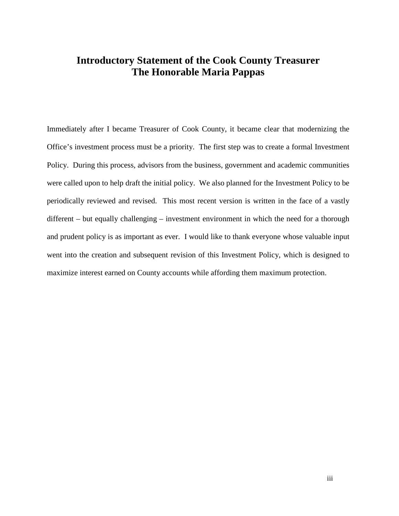# **Introductory Statement of the Cook County Treasurer The Honorable Maria Pappas**

Immediately after I became Treasurer of Cook County, it became clear that modernizing the Office's investment process must be a priority. The first step was to create a formal Investment Policy. During this process, advisors from the business, government and academic communities were called upon to help draft the initial policy. We also planned for the Investment Policy to be periodically reviewed and revised. This most recent version is written in the face of a vastly different – but equally challenging – investment environment in which the need for a thorough and prudent policy is as important as ever. I would like to thank everyone whose valuable input went into the creation and subsequent revision of this Investment Policy, which is designed to maximize interest earned on County accounts while affording them maximum protection.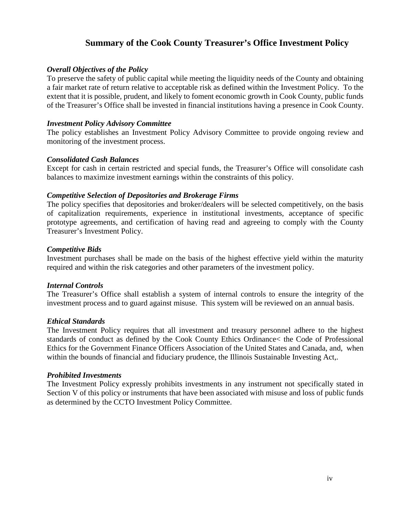# **Summary of the Cook County Treasurer's Office Investment Policy**

#### *Overall Objectives of the Policy*

To preserve the safety of public capital while meeting the liquidity needs of the County and obtaining a fair market rate of return relative to acceptable risk as defined within the Investment Policy. To the extent that it is possible, prudent, and likely to foment economic growth in Cook County, public funds of the Treasurer's Office shall be invested in financial institutions having a presence in Cook County.

#### *Investment Policy Advisory Committee*

The policy establishes an Investment Policy Advisory Committee to provide ongoing review and monitoring of the investment process.

#### *Consolidated Cash Balances*

Except for cash in certain restricted and special funds, the Treasurer's Office will consolidate cash balances to maximize investment earnings within the constraints of this policy.

#### *Competitive Selection of Depositories and Brokerage Firms*

The policy specifies that depositories and broker/dealers will be selected competitively, on the basis of capitalization requirements, experience in institutional investments, acceptance of specific prototype agreements, and certification of having read and agreeing to comply with the County Treasurer's Investment Policy.

#### *Competitive Bids*

Investment purchases shall be made on the basis of the highest effective yield within the maturity required and within the risk categories and other parameters of the investment policy.

#### *Internal Controls*

The Treasurer's Office shall establish a system of internal controls to ensure the integrity of the investment process and to guard against misuse. This system will be reviewed on an annual basis.

#### *Ethical Standards*

The Investment Policy requires that all investment and treasury personnel adhere to the highest standards of conduct as defined by the Cook County Ethics Ordinance< the Code of Professional Ethics for the Government Finance Officers Association of the United States and Canada, and, when within the bounds of financial and fiduciary prudence, the Illinois Sustainable Investing Act,.

#### *Prohibited Investments*

The Investment Policy expressly prohibits investments in any instrument not specifically stated in Section V of this policy or instruments that have been associated with misuse and loss of public funds as determined by the CCTO Investment Policy Committee.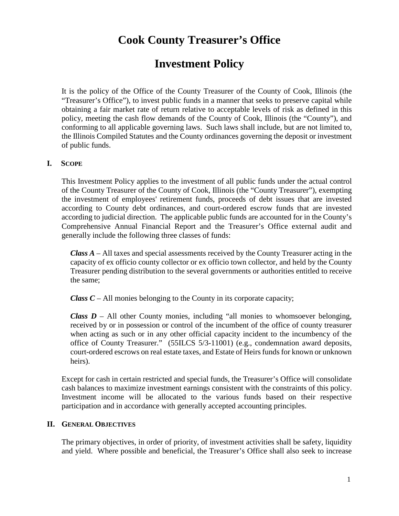# **Cook County Treasurer's Office**

# **Investment Policy**

It is the policy of the Office of the County Treasurer of the County of Cook, Illinois (the "Treasurer's Office"), to invest public funds in a manner that seeks to preserve capital while obtaining a fair market rate of return relative to acceptable levels of risk as defined in this policy, meeting the cash flow demands of the County of Cook, Illinois (the "County"), and conforming to all applicable governing laws. Such laws shall include, but are not limited to, the Illinois Compiled Statutes and the County ordinances governing the deposit or investment of public funds.

#### **I. SCOPE**

This Investment Policy applies to the investment of all public funds under the actual control of the County Treasurer of the County of Cook, Illinois (the "County Treasurer"), exempting the investment of employees' retirement funds, proceeds of debt issues that are invested according to County debt ordinances, and court-ordered escrow funds that are invested according to judicial direction. The applicable public funds are accounted for in the County's Comprehensive Annual Financial Report and the Treasurer's Office external audit and generally include the following three classes of funds:

*Class A* – All taxes and special assessments received by the County Treasurer acting in the capacity of ex officio county collector or ex officio town collector, and held by the County Treasurer pending distribution to the several governments or authorities entitled to receive the same;

*Class C* – All monies belonging to the County in its corporate capacity;

*Class D* – All other County monies, including "all monies to whomsoever belonging, received by or in possession or control of the incumbent of the office of county treasurer when acting as such or in any other official capacity incident to the incumbency of the office of County Treasurer." (55ILCS 5/3-11001) (e.g., condemnation award deposits, court-ordered escrows on real estate taxes, and Estate of Heirs funds for known or unknown heirs).

Except for cash in certain restricted and special funds, the Treasurer's Office will consolidate cash balances to maximize investment earnings consistent with the constraints of this policy. Investment income will be allocated to the various funds based on their respective participation and in accordance with generally accepted accounting principles.

#### **II. GENERAL OBJECTIVES**

The primary objectives, in order of priority, of investment activities shall be safety, liquidity and yield. Where possible and beneficial, the Treasurer's Office shall also seek to increase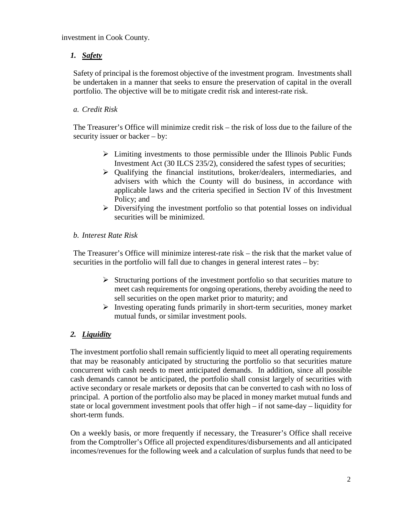investment in Cook County.

# *1. Safety*

Safety of principal is the foremost objective of the investment program. Investments shall be undertaken in a manner that seeks to ensure the preservation of capital in the overall portfolio. The objective will be to mitigate credit risk and interest-rate risk.

#### *a. Credit Risk*

The Treasurer's Office will minimize credit risk – the risk of loss due to the failure of the security issuer or backer – by:

- $\triangleright$  Limiting investments to those permissible under the Illinois Public Funds Investment Act (30 ILCS 235/2), considered the safest types of securities;
- $\triangleright$  Qualifying the financial institutions, broker/dealers, intermediaries, and advisers with which the County will do business, in accordance with applicable laws and the criteria specified in Section IV of this Investment Policy; and
- $\triangleright$  Diversifying the investment portfolio so that potential losses on individual securities will be minimized.

## *b. Interest Rate Risk*

The Treasurer's Office will minimize interest-rate risk – the risk that the market value of securities in the portfolio will fall due to changes in general interest rates – by:

- $\triangleright$  Structuring portions of the investment portfolio so that securities mature to meet cash requirements for ongoing operations, thereby avoiding the need to sell securities on the open market prior to maturity; and
- $\triangleright$  Investing operating funds primarily in short-term securities, money market mutual funds, or similar investment pools.

# *2. Liquidity*

The investment portfolio shall remain sufficiently liquid to meet all operating requirements that may be reasonably anticipated by structuring the portfolio so that securities mature concurrent with cash needs to meet anticipated demands. In addition, since all possible cash demands cannot be anticipated, the portfolio shall consist largely of securities with active secondary or resale markets or deposits that can be converted to cash with no loss of principal. A portion of the portfolio also may be placed in money market mutual funds and state or local government investment pools that offer high – if not same-day – liquidity for short-term funds.

On a weekly basis, or more frequently if necessary, the Treasurer's Office shall receive from the Comptroller's Office all projected expenditures/disbursements and all anticipated incomes/revenues for the following week and a calculation of surplus funds that need to be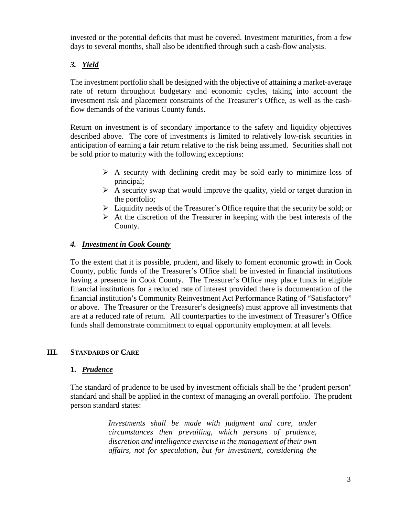invested or the potential deficits that must be covered. Investment maturities, from a few days to several months, shall also be identified through such a cash-flow analysis.

# *3. Yield*

The investment portfolio shall be designed with the objective of attaining a market-average rate of return throughout budgetary and economic cycles, taking into account the investment risk and placement constraints of the Treasurer's Office, as well as the cashflow demands of the various County funds.

Return on investment is of secondary importance to the safety and liquidity objectives described above. The core of investments is limited to relatively low-risk securities in anticipation of earning a fair return relative to the risk being assumed. Securities shall not be sold prior to maturity with the following exceptions:

- $\triangleright$  A security with declining credit may be sold early to minimize loss of principal;
- $\triangleright$  A security swap that would improve the quality, yield or target duration in the portfolio;
- $\triangleright$  Liquidity needs of the Treasurer's Office require that the security be sold; or
- $\triangleright$  At the discretion of the Treasurer in keeping with the best interests of the County.

#### *4. Investment in Cook County*

To the extent that it is possible, prudent, and likely to foment economic growth in Cook County, public funds of the Treasurer's Office shall be invested in financial institutions having a presence in Cook County. The Treasurer's Office may place funds in eligible financial institutions for a reduced rate of interest provided there is documentation of the financial institution's Community Reinvestment Act Performance Rating of "Satisfactory" or above. The Treasurer or the Treasurer's designee(s) must approve all investments that are at a reduced rate of return. All counterparties to the investment of Treasurer's Office funds shall demonstrate commitment to equal opportunity employment at all levels.

#### **III. STANDARDS OF CARE**

#### **1.** *Prudence*

The standard of prudence to be used by investment officials shall be the "prudent person" standard and shall be applied in the context of managing an overall portfolio. The prudent person standard states:

> Investments shall be made with judgment and care, under *circumstances then prevailing, which persons of prudence, discretion and intelligence exercise in the management of their own affairs, not for speculation, but for investment, considering the*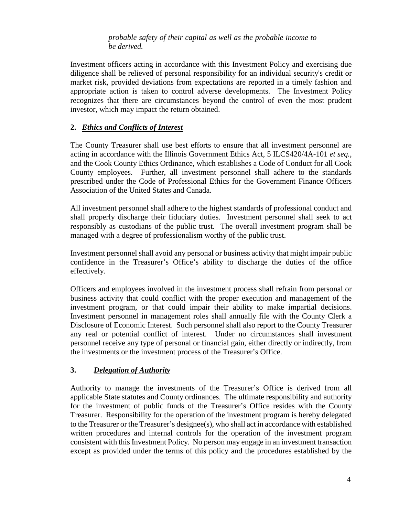#### *probable safety of their capital as well as the probable income to be derived.*

Investment officers acting in accordance with this Investment Policy and exercising due diligence shall be relieved of personal responsibility for an individual security's credit or market risk, provided deviations from expectations are reported in a timely fashion and appropriate action is taken to control adverse developments. The Investment Policy recognizes that there are circumstances beyond the control of even the most prudent investor, which may impact the return obtained.

# **2.** *Ethics and Conflicts of Interest*

The County Treasurer shall use best efforts to ensure that all investment personnel are acting in accordance with the Illinois Government Ethics Act, 5 ILCS420/4A-101 *et seq.*, and the Cook County Ethics Ordinance, which establishes a Code of Conduct for all Cook County employees. Further, all investment personnel shall adhere to the standards prescribed under the Code of Professional Ethics for the Government Finance Officers Association of the United States and Canada.

All investment personnel shall adhere to the highest standards of professional conduct and shall properly discharge their fiduciary duties. Investment personnel shall seek to act responsibly as custodians of the public trust. The overall investment program shall be managed with a degree of professionalism worthy of the public trust.

Investment personnel shall avoid any personal or business activity that might impair public confidence in the Treasurer's Office's ability to discharge the duties of the office effectively.

Officers and employees involved in the investment process shall refrain from personal or business activity that could conflict with the proper execution and management of the investment program, or that could impair their ability to make impartial decisions. Investment personnel in management roles shall annually file with the County Clerk a Disclosure of Economic Interest. Such personnel shall also report to the County Treasurer any real or potential conflict of interest. Under no circumstances shall investment personnel receive any type of personal or financial gain, either directly or indirectly, from the investments or the investment process of the Treasurer's Office.

# **3.** *Delegation of Authority*

Authority to manage the investments of the Treasurer's Office is derived from all applicable State statutes and County ordinances. The ultimate responsibility and authority for the investment of public funds of the Treasurer's Office resides with the County Treasurer. Responsibility for the operation of the investment program is hereby delegated to the Treasurer or the Treasurer's designee(s), who shall act in accordance with established written procedures and internal controls for the operation of the investment program consistent with this Investment Policy. No person may engage in an investment transaction except as provided under the terms of this policy and the procedures established by the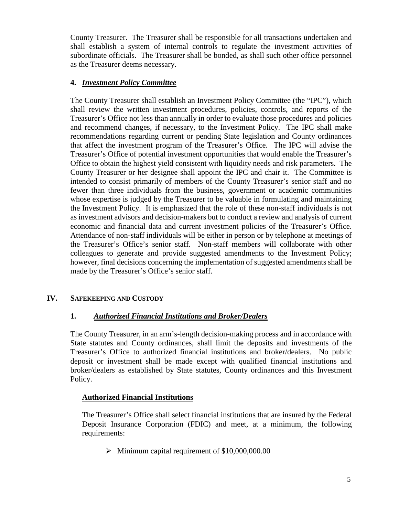County Treasurer. The Treasurer shall be responsible for all transactions undertaken and shall establish a system of internal controls to regulate the investment activities of subordinate officials. The Treasurer shall be bonded, as shall such other office personnel as the Treasurer deems necessary.

#### **4.** *Investment Policy Committee*

The County Treasurer shall establish an Investment Policy Committee (the "IPC"), which shall review the written investment procedures, policies, controls, and reports of the Treasurer's Office not less than annually in order to evaluate those procedures and policies and recommend changes, if necessary, to the Investment Policy. The IPC shall make recommendations regarding current or pending State legislation and County ordinances that affect the investment program of the Treasurer's Office. The IPC will advise the Treasurer's Office of potential investment opportunities that would enable the Treasurer's Office to obtain the highest yield consistent with liquidity needs and risk parameters. The County Treasurer or her designee shall appoint the IPC and chair it. The Committee is intended to consist primarily of members of the County Treasurer's senior staff and no fewer than three individuals from the business, government or academic communities whose expertise is judged by the Treasurer to be valuable in formulating and maintaining the Investment Policy. It is emphasized that the role of these non-staff individuals is not as investment advisors and decision-makers but to conduct a review and analysis of current economic and financial data and current investment policies of the Treasurer's Office. Attendance of non-staff individuals will be either in person or by telephone at meetings of the Treasurer's Office's senior staff. Non-staff members will collaborate with other colleagues to generate and provide suggested amendments to the Investment Policy; however, final decisions concerning the implementation of suggested amendments shall be made by the Treasurer's Office's senior staff.

#### **IV. SAFEKEEPING AND CUSTODY**

# **1.** *Authorized Financial Institutions and Broker/Dealers*

The County Treasurer, in an arm's-length decision-making process and in accordance with State statutes and County ordinances, shall limit the deposits and investments of the Treasurer's Office to authorized financial institutions and broker/dealers. No public deposit or investment shall be made except with qualified financial institutions and broker/dealers as established by State statutes, County ordinances and this Investment Policy.

#### **Authorized Financial Institutions**

The Treasurer's Office shall select financial institutions that are insured by the Federal Deposit Insurance Corporation (FDIC) and meet, at a minimum, the following requirements:

 $\blacktriangleright$  Minimum capital requirement of \$10,000,000.00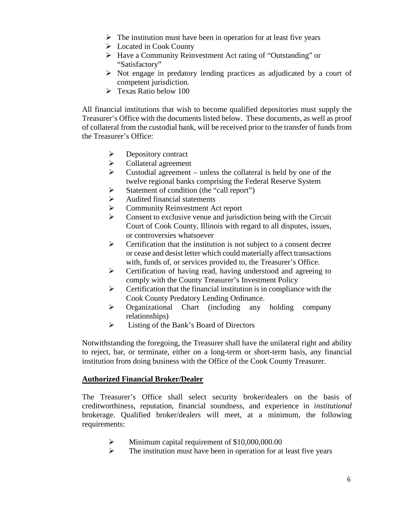- $\triangleright$  The institution must have been in operation for at least five years
- Located in Cook County
- Have a Community Reinvestment Act rating of "Outstanding" or "Satisfactory"
- $\triangleright$  Not engage in predatory lending practices as adjudicated by a court of competent jurisdiction.
- $\triangleright$  Texas Ratio below 100

All financial institutions that wish to become qualified depositories must supply the Treasurer's Office with the documents listed below. These documents, as well as proof of collateral from the custodial bank, will be received prior to the transfer of funds from the Treasurer's Office:

- $\triangleright$  Depository contract
- $\triangleright$  Collateral agreement<br> $\triangleright$  Custodial agreement
- Custodial agreement unless the collateral is held by one of the twelve regional banks comprising the Federal Reserve System
- $\triangleright$  Statement of condition (the "call report")
- $\triangleright$  Audited financial statements
- **►** Community Reinvestment Act report
- $\triangleright$  Consent to exclusive venue and jurisdiction being with the Circuit Court of Cook County, Illinois with regard to all disputes, issues, or controversies whatsoever
- $\triangleright$  Certification that the institution is not subject to a consent decree or cease and desist letter which could materially affect transactions with, funds of, or services provided to, the Treasurer's Office.
- $\triangleright$  Certification of having read, having understood and agreeing to comply with the County Treasurer's Investment Policy
- $\triangleright$  Certification that the financial institution is in compliance with the Cook County Predatory Lending Ordinance.
- Organizational Chart (including any holding company relationships)
- $\triangleright$  Listing of the Bank's Board of Directors

Notwithstanding the foregoing, the Treasurer shall have the unilateral right and ability to reject, bar, or terminate, either on a long-term or short-term basis, any financial institution from doing business with the Office of the Cook County Treasurer.

#### **Authorized Financial Broker/Dealer**

The Treasurer's Office shall select security broker/dealers on the basis of creditworthiness, reputation, financial soundness, and experience in *institutional* brokerage. Qualified broker/dealers will meet, at a minimum, the following requirements:

- $\blacktriangleright$  Minimum capital requirement of \$10,000,000.00
- $\triangleright$  The institution must have been in operation for at least five years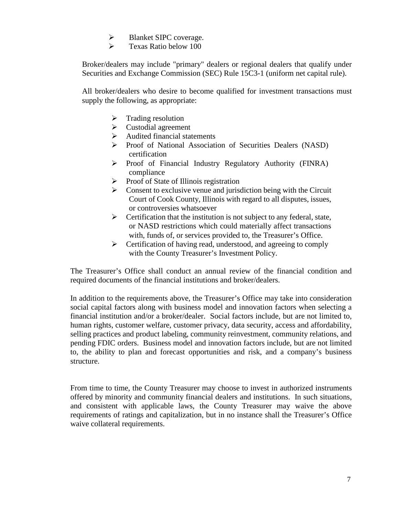- > Blanket SIPC coverage.
- $\triangleright$  Texas Ratio below 100

Broker/dealers may include "primary" dealers or regional dealers that qualify under Securities and Exchange Commission (SEC) Rule 15C3-1 (uniform net capital rule).

All broker/dealers who desire to become qualified for investment transactions must supply the following, as appropriate:

- $\triangleright$  Trading resolution
- $\triangleright$  Custodial agreement
- $\triangleright$  Audited financial statements
- Proof of National Association of Securities Dealers (NASD) certification
- Proof of Financial Industry Regulatory Authority (FINRA) compliance
- $\triangleright$  Proof of State of Illinois registration
- $\triangleright$  Consent to exclusive venue and jurisdiction being with the Circuit Court of Cook County, Illinois with regard to all disputes, issues, or controversies whatsoever
- $\triangleright$  Certification that the institution is not subject to any federal, state, or NASD restrictions which could materially affect transactions with, funds of, or services provided to, the Treasurer's Office.
- $\triangleright$  Certification of having read, understood, and agreeing to comply with the County Treasurer's Investment Policy.

The Treasurer's Office shall conduct an annual review of the financial condition and required documents of the financial institutions and broker/dealers.

In addition to the requirements above, the Treasurer's Office may take into consideration social capital factors along with business model and innovation factors when selecting a financial institution and/or a broker/dealer. Social factors include, but are not limited to, human rights, customer welfare, customer privacy, data security, access and affordability, selling practices and product labeling, community reinvestment, community relations, and pending FDIC orders. Business model and innovation factors include, but are not limited to, the ability to plan and forecast opportunities and risk, and a company's business structure.

From time to time, the County Treasurer may choose to invest in authorized instruments offered by minority and community financial dealers and institutions. In such situations, and consistent with applicable laws, the County Treasurer may waive the above requirements of ratings and capitalization, but in no instance shall the Treasurer's Office waive collateral requirements.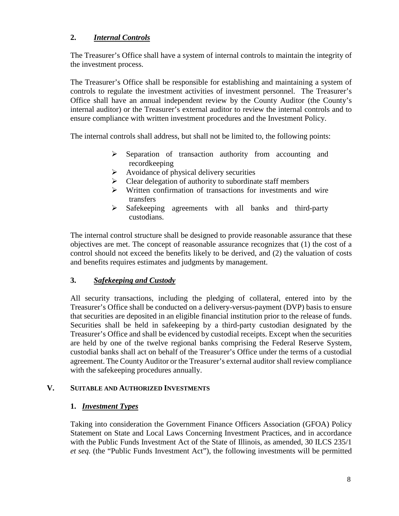# **2.** *Internal Controls*

The Treasurer's Office shall have a system of internal controls to maintain the integrity of the investment process.

The Treasurer's Office shall be responsible for establishing and maintaining a system of controls to regulate the investment activities of investment personnel. The Treasurer's Office shall have an annual independent review by the County Auditor (the County's internal auditor) or the Treasurer's external auditor to review the internal controls and to ensure compliance with written investment procedures and the Investment Policy.

The internal controls shall address, but shall not be limited to, the following points:

- $\triangleright$  Separation of transaction authority from accounting and recordkeeping
- $\triangleright$  Avoidance of physical delivery securities
- $\triangleright$  Clear delegation of authority to subordinate staff members
- $\triangleright$  Written confirmation of transactions for investments and wire transfers
- $\triangleright$  Safekeeping agreements with all banks and third-party custodians.

The internal control structure shall be designed to provide reasonable assurance that these objectives are met. The concept of reasonable assurance recognizes that (1) the cost of a control should not exceed the benefits likely to be derived, and (2) the valuation of costs and benefits requires estimates and judgments by management.

#### **3.** *Safekeeping and Custody*

All security transactions, including the pledging of collateral, entered into by the Treasurer's Office shall be conducted on a delivery-versus-payment (DVP) basis to ensure that securities are deposited in an eligible financial institution prior to the release of funds. Securities shall be held in safekeeping by a third-party custodian designated by the Treasurer's Office and shall be evidenced by custodial receipts. Except when the securities are held by one of the twelve regional banks comprising the Federal Reserve System, custodial banks shall act on behalf of the Treasurer's Office under the terms of a custodial agreement. The County Auditor or the Treasurer's external auditor shall review compliance with the safekeeping procedures annually.

#### **V. SUITABLE AND AUTHORIZED INVESTMENTS**

#### **1.** *Investment Types*

Taking into consideration the Government Finance Officers Association (GFOA) Policy Statement on State and Local Laws Concerning Investment Practices, and in accordance with the Public Funds Investment Act of the State of Illinois, as amended, 30 ILCS 235/1 *et seq.* (the "Public Funds Investment Act"), the following investments will be permitted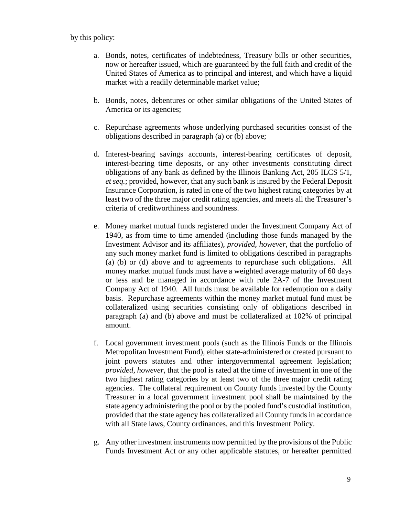by this policy:

- a. Bonds, notes, certificates of indebtedness, Treasury bills or other securities, now or hereafter issued, which are guaranteed by the full faith and credit of the United States of America as to principal and interest, and which have a liquid market with a readily determinable market value;
- b. Bonds, notes, debentures or other similar obligations of the United States of America or its agencies;
- c. Repurchase agreements whose underlying purchased securities consist of the obligations described in paragraph (a) or (b) above;
- d. Interest-bearing savings accounts, interest-bearing certificates of deposit, interest-bearing time deposits, or any other investments constituting direct obligations of any bank as defined by the Illinois Banking Act, 205 ILCS 5/1, *et seq.*; provided, however, that any such bank is insured by the Federal Deposit Insurance Corporation, is rated in one of the two highest rating categories by at least two of the three major credit rating agencies, and meets all the Treasurer's criteria of creditworthiness and soundness.
- e. Money market mutual funds registered under the Investment Company Act of 1940, as from time to time amended (including those funds managed by the Investment Advisor and its affiliates), *provided, however,* that the portfolio of any such money market fund is limited to obligations described in paragraphs (a) (b) or (d) above and to agreements to repurchase such obligations. All money market mutual funds must have a weighted average maturity of 60 days or less and be managed in accordance with rule 2A-7 of the Investment Company Act of 1940. All funds must be available for redemption on a daily basis. Repurchase agreements within the money market mutual fund must be collateralized using securities consisting only of obligations described in paragraph (a) and (b) above and must be collateralized at 102% of principal amount.
- f. Local government investment pools (such as the Illinois Funds or the Illinois Metropolitan Investment Fund), either state-administered or created pursuant to joint powers statutes and other intergovernmental agreement legislation; *provided, however,* that the pool is rated at the time of investment in one of the two highest rating categories by at least two of the three major credit rating agencies. The collateral requirement on County funds invested by the County Treasurer in a local government investment pool shall be maintained by the state agency administering the pool or by the pooled fund's custodial institution, provided that the state agency has collateralized all County funds in accordance with all State laws, County ordinances, and this Investment Policy.
- g. Any other investment instruments now permitted by the provisions of the Public Funds Investment Act or any other applicable statutes, or hereafter permitted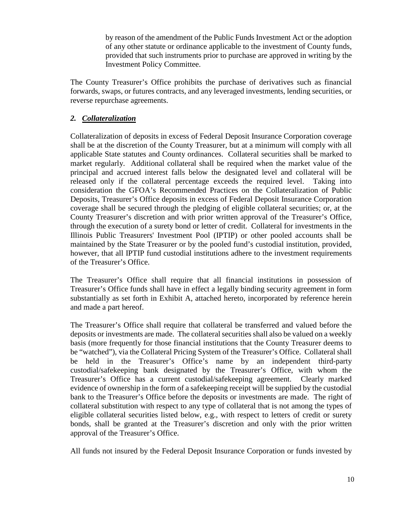by reason of the amendment of the Public Funds Investment Act or the adoption of any other statute or ordinance applicable to the investment of County funds, provided that such instruments prior to purchase are approved in writing by the Investment Policy Committee.

The County Treasurer's Office prohibits the purchase of derivatives such as financial forwards, swaps, or futures contracts, and any leveraged investments, lending securities, or reverse repurchase agreements.

## *2. Collateralization*

Collateralization of deposits in excess of Federal Deposit Insurance Corporation coverage shall be at the discretion of the County Treasurer, but at a minimum will comply with all applicable State statutes and County ordinances. Collateral securities shall be marked to market regularly. Additional collateral shall be required when the market value of the principal and accrued interest falls below the designated level and collateral will be released only if the collateral percentage exceeds the required level. Taking into consideration the GFOA's Recommended Practices on the Collateralization of Public Deposits, Treasurer's Office deposits in excess of Federal Deposit Insurance Corporation coverage shall be secured through the pledging of eligible collateral securities; or, at the County Treasurer's discretion and with prior written approval of the Treasurer's Office, through the execution of a surety bond or letter of credit. Collateral for investments in the Illinois Public Treasurers' Investment Pool (IPTIP) or other pooled accounts shall be maintained by the State Treasurer or by the pooled fund's custodial institution, provided, however, that all IPTIP fund custodial institutions adhere to the investment requirements of the Treasurer's Office.

The Treasurer's Office shall require that all financial institutions in possession of Treasurer's Office funds shall have in effect a legally binding security agreement in form substantially as set forth in Exhibit A, attached hereto, incorporated by reference herein and made a part hereof.

The Treasurer's Office shall require that collateral be transferred and valued before the deposits or investments are made. The collateral securities shall also be valued on a weekly basis (more frequently for those financial institutions that the County Treasurer deems to be "watched"), via the Collateral Pricing System of the Treasurer's Office. Collateral shall be held in the Treasurer's Office's name by an independent third-party custodial/safekeeping bank designated by the Treasurer's Office, with whom the Treasurer's Office has a current custodial/safekeeping agreement. Clearly marked evidence of ownership in the form of a safekeeping receipt will be supplied by the custodial bank to the Treasurer's Office before the deposits or investments are made. The right of collateral substitution with respect to any type of collateral that is not among the types of eligible collateral securities listed below, e.g., with respect to letters of credit or surety bonds, shall be granted at the Treasurer's discretion and only with the prior written approval of the Treasurer's Office.

All funds not insured by the Federal Deposit Insurance Corporation or funds invested by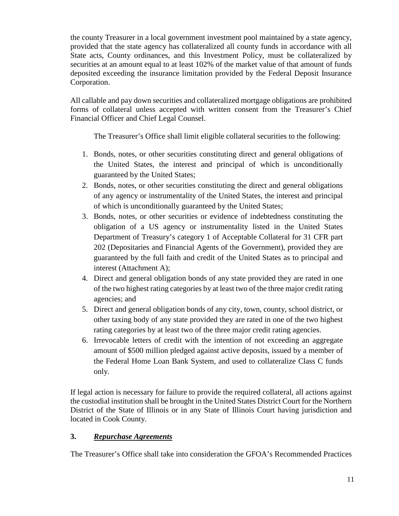the county Treasurer in a local government investment pool maintained by a state agency, provided that the state agency has collateralized all county funds in accordance with all State acts, County ordinances, and this Investment Policy, must be collateralized by securities at an amount equal to at least 102% of the market value of that amount of funds deposited exceeding the insurance limitation provided by the Federal Deposit Insurance Corporation.

All callable and pay down securities and collateralized mortgage obligations are prohibited forms of collateral unless accepted with written consent from the Treasurer's Chief Financial Officer and Chief Legal Counsel.

The Treasurer's Office shall limit eligible collateral securities to the following:

- 1. Bonds, notes, or other securities constituting direct and general obligations of the United States, the interest and principal of which is unconditionally guaranteed by the United States;
- 2. Bonds, notes, or other securities constituting the direct and general obligations of any agency or instrumentality of the United States, the interest and principal of which is unconditionally guaranteed by the United States;
- 3. Bonds, notes, or other securities or evidence of indebtedness constituting the obligation of a US agency or instrumentality listed in the United States Department of Treasury's category 1 of Acceptable Collateral for 31 CFR part 202 (Depositaries and Financial Agents of the Government), provided they are guaranteed by the full faith and credit of the United States as to principal and interest (Attachment A);
- 4. Direct and general obligation bonds of any state provided they are rated in one of the two highest rating categories by at least two of the three major credit rating agencies; and
- 5. Direct and general obligation bonds of any city, town, county, school district, or other taxing body of any state provided they are rated in one of the two highest rating categories by at least two of the three major credit rating agencies.
- 6. Irrevocable letters of credit with the intention of not exceeding an aggregate amount of \$500 million pledged against active deposits, issued by a member of the Federal Home Loan Bank System, and used to collateralize Class C funds only.

If legal action is necessary for failure to provide the required collateral, all actions against the custodial institution shall be brought in the United States District Court for the Northern District of the State of Illinois or in any State of Illinois Court having jurisdiction and located in Cook County.

#### **3.** *Repurchase Agreements*

The Treasurer's Office shall take into consideration the GFOA's Recommended Practices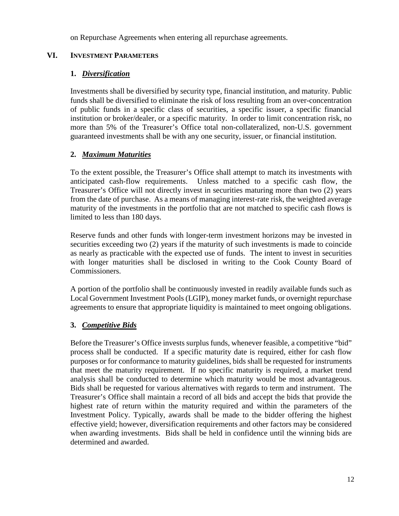on Repurchase Agreements when entering all repurchase agreements.

## **VI. INVESTMENT PARAMETERS**

#### **1.** *Diversification*

Investments shall be diversified by security type, financial institution, and maturity. Public funds shall be diversified to eliminate the risk of loss resulting from an over-concentration of public funds in a specific class of securities, a specific issuer, a specific financial institution or broker/dealer, or a specific maturity. In order to limit concentration risk, no more than 5% of the Treasurer's Office total non-collateralized, non-U.S. government guaranteed investments shall be with any one security, issuer, or financial institution.

## **2.** *Maximum Maturities*

To the extent possible, the Treasurer's Office shall attempt to match its investments with anticipated cash-flow requirements. Unless matched to a specific cash flow, the Treasurer's Office will not directly invest in securities maturing more than two (2) years from the date of purchase. As a means of managing interest-rate risk, the weighted average maturity of the investments in the portfolio that are not matched to specific cash flows is limited to less than 180 days.

Reserve funds and other funds with longer-term investment horizons may be invested in securities exceeding two (2) years if the maturity of such investments is made to coincide as nearly as practicable with the expected use of funds. The intent to invest in securities with longer maturities shall be disclosed in writing to the Cook County Board of Commissioners.

A portion of the portfolio shall be continuously invested in readily available funds such as Local Government Investment Pools (LGIP), money market funds, or overnight repurchase agreements to ensure that appropriate liquidity is maintained to meet ongoing obligations.

# **3.** *Competitive Bids*

Before the Treasurer's Office invests surplus funds, whenever feasible, a competitive "bid" process shall be conducted. If a specific maturity date is required, either for cash flow purposes or for conformance to maturity guidelines, bids shall be requested for instruments that meet the maturity requirement. If no specific maturity is required, a market trend analysis shall be conducted to determine which maturity would be most advantageous. Bids shall be requested for various alternatives with regards to term and instrument. The Treasurer's Office shall maintain a record of all bids and accept the bids that provide the highest rate of return within the maturity required and within the parameters of the Investment Policy. Typically, awards shall be made to the bidder offering the highest effective yield; however, diversification requirements and other factors may be considered when awarding investments. Bids shall be held in confidence until the winning bids are determined and awarded.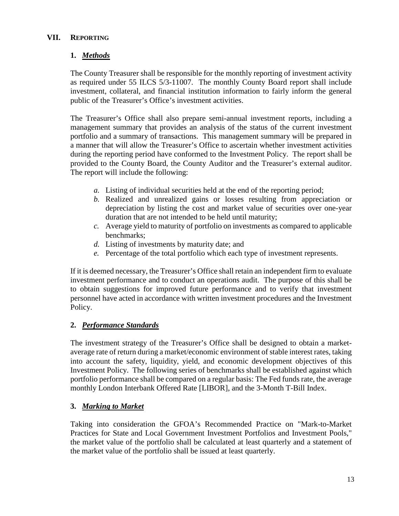#### **VII. REPORTING**

#### **1.** *Methods*

The County Treasurer shall be responsible for the monthly reporting of investment activity as required under 55 ILCS 5/3-11007. The monthly County Board report shall include investment, collateral, and financial institution information to fairly inform the general public of the Treasurer's Office's investment activities.

The Treasurer's Office shall also prepare semi-annual investment reports, including a management summary that provides an analysis of the status of the current investment portfolio and a summary of transactions. This management summary will be prepared in a manner that will allow the Treasurer's Office to ascertain whether investment activities during the reporting period have conformed to the Investment Policy. The report shall be provided to the County Board, the County Auditor and the Treasurer's external auditor. The report will include the following:

- *a.* Listing of individual securities held at the end of the reporting period;
- *b.* Realized and unrealized gains or losses resulting from appreciation or depreciation by listing the cost and market value of securities over one-year duration that are not intended to be held until maturity;
- *c.* Average yield to maturity of portfolio on investments as compared to applicable benchmarks;
- *d.* Listing of investments by maturity date; and
- *e.* Percentage of the total portfolio which each type of investment represents.

If it is deemed necessary, the Treasurer's Office shall retain an independent firm to evaluate investment performance and to conduct an operations audit. The purpose of this shall be to obtain suggestions for improved future performance and to verify that investment personnel have acted in accordance with written investment procedures and the Investment Policy.

#### **2.** *Performance Standards*

The investment strategy of the Treasurer's Office shall be designed to obtain a marketaverage rate of return during a market/economic environment of stable interest rates, taking into account the safety, liquidity, yield, and economic development objectives of this Investment Policy. The following series of benchmarks shall be established against which portfolio performance shall be compared on a regular basis: The Fed funds rate, the average monthly London Interbank Offered Rate [LIBOR], and the 3-Month T-Bill Index.

#### **3.** *Marking to Market*

Taking into consideration the GFOA's Recommended Practice on "Mark-to-Market Practices for State and Local Government Investment Portfolios and Investment Pools," the market value of the portfolio shall be calculated at least quarterly and a statement of the market value of the portfolio shall be issued at least quarterly.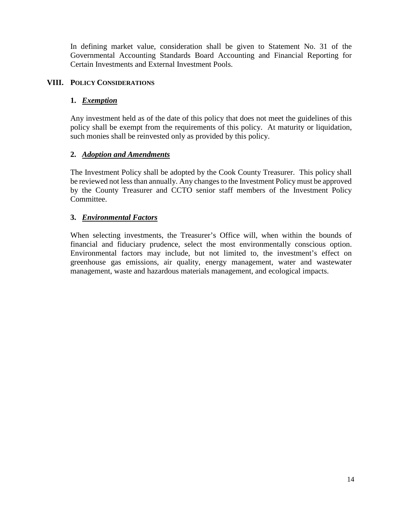In defining market value, consideration shall be given to Statement No. 31 of the Governmental Accounting Standards Board Accounting and Financial Reporting for Certain Investments and External Investment Pools.

#### **VIII. POLICY CONSIDERATIONS**

#### **1.** *Exemption*

Any investment held as of the date of this policy that does not meet the guidelines of this policy shall be exempt from the requirements of this policy. At maturity or liquidation, such monies shall be reinvested only as provided by this policy.

## **2.** *Adoption and Amendments*

The Investment Policy shall be adopted by the Cook County Treasurer. This policy shall be reviewed not less than annually. Any changes to the Investment Policy must be approved by the County Treasurer and CCTO senior staff members of the Investment Policy Committee.

## **3.** *Environmental Factors*

When selecting investments, the Treasurer's Office will, when within the bounds of financial and fiduciary prudence, select the most environmentally conscious option. Environmental factors may include, but not limited to, the investment's effect on greenhouse gas emissions, air quality, energy management, water and wastewater management, waste and hazardous materials management, and ecological impacts.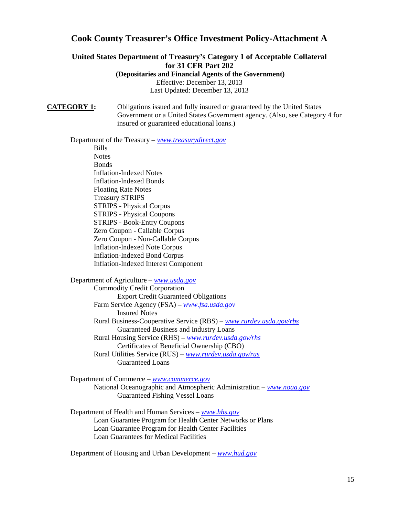# **Cook County Treasurer's Office Investment Policy-Attachment A**

**United States Department of Treasury's Category 1 of Acceptable Collateral for 31 CFR Part 202**

> **(Depositaries and Financial Agents of the Government)** Effective: December 13, 2013

> > Last Updated: December 13, 2013

#### **CATEGORY 1:** Obligations issued and fully insured or guaranteed by the United States Government or a United States Government agency. (Also, see Category 4 for insured or guaranteed educational loans.)

Department of the Treasury – *www.treasurydirect.gov*

Bills **Notes** Bonds Inflation-Indexed Notes Inflation-Indexed Bonds Floating Rate Notes Treasury STRIPS STRIPS - Physical Corpus STRIPS - Physical Coupons STRIPS - Book-Entry Coupons Zero Coupon - Callable Corpus Zero Coupon - Non-Callable Corpus Inflation-Indexed Note Corpus Inflation-Indexed Bond Corpus Inflation-Indexed Interest Component

Department of Agriculture – *www.usda.gov*

Commodity Credit Corporation Export Credit Guaranteed Obligations Farm Service Agency (FSA) – *www.fsa.usda.gov* Insured Notes Rural Business-Cooperative Service (RBS) – *www.rurdev.usda.gov/rbs* Guaranteed Business and Industry Loans Rural Housing Service (RHS) – *www.rurdev.usda.gov/rhs* Certificates of Beneficial Ownership (CBO) Rural Utilities Service (RUS) – *www.rurdev.usda.gov/rus* Guaranteed Loans

Department of Commerce – *www.commerce.gov* National Oceanographic and Atmospheric Administration – *www.noaa.gov* Guaranteed Fishing Vessel Loans

Department of Health and Human Services – *www.hhs.gov* Loan Guarantee Program for Health Center Networks or Plans Loan Guarantee Program for Health Center Facilities Loan Guarantees for Medical Facilities

Department of Housing and Urban Development – *www.hud.gov*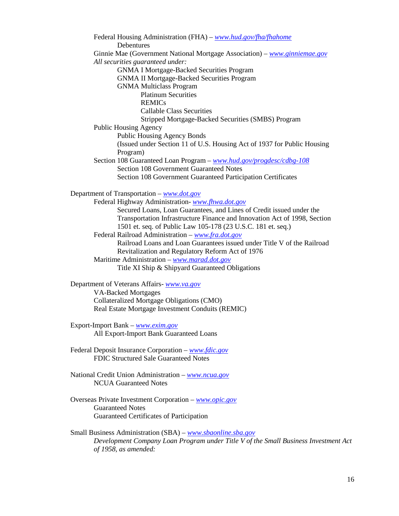Federal Housing Administration (FHA) – *www.hud.gov/fha/fhahome* **Debentures** Ginnie Mae (Government National Mortgage Association) – *www.ginniemae.gov All securities guaranteed under:*  GNMA I Mortgage-Backed Securities Program GNMA II Mortgage-Backed Securities Program GNMA Multiclass Program Platinum Securities REMICs Callable Class Securities Stripped Mortgage-Backed Securities (SMBS) Program Public Housing Agency Public Housing Agency Bonds (Issued under Section 11 of U.S. Housing Act of 1937 for Public Housing Program) Section 108 Guaranteed Loan Program – *www.hud.gov/progdesc/cdbg-108* Section 108 Government Guaranteed Notes Section 108 Government Guaranteed Participation Certificates Department of Transportation – *www.dot.gov* Federal Highway Administration- *www.fhwa.dot.gov* Secured Loans, Loan Guarantees, and Lines of Credit issued under the Transportation Infrastructure Finance and Innovation Act of 1998, Section 1501 et. seq. of Public Law 105-178 (23 U.S.C. 181 et. seq.) Federal Railroad Administration – *www.fra.dot.gov* Railroad Loans and Loan Guarantees issued under Title V of the Railroad Revitalization and Regulatory Reform Act of 1976 Maritime Administration – *www.marad.dot.gov* Title XI Ship & Shipyard Guaranteed Obligations

Department of Veterans Affairs- *www.va.gov* VA-Backed Mortgages Collateralized Mortgage Obligations (CMO) Real Estate Mortgage Investment Conduits (REMIC)

Export-Import Bank – *www.exim.gov* All Export-Import Bank Guaranteed Loans

Federal Deposit Insurance Corporation – *www.fdic.gov* FDIC Structured Sale Guaranteed Notes

National Credit Union Administration – *www.ncua.gov* NCUA Guaranteed Notes

Overseas Private Investment Corporation – *www.opic.gov* Guaranteed Notes Guaranteed Certificates of Participation

Small Business Administration (SBA) – *www.sbaonline.sba.gov Development Company Loan Program under Title V of the Small Business Investment Act of 1958, as amended:*